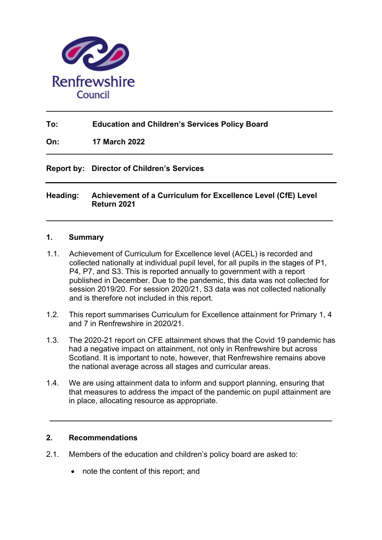

# **To: Education and Children's Services Policy Board**

**On: 17 March 2022**

### **Report by: Director of Children's Services**

### **Heading: Achievement of a Curriculum for Excellence Level (CfE) Level Return 2021**

**\_\_\_\_\_\_\_\_\_\_\_\_\_\_\_\_\_\_\_\_\_\_\_\_\_\_\_\_\_\_\_\_\_\_\_\_\_\_\_\_\_\_\_\_\_\_\_\_\_\_\_\_\_\_\_\_\_\_\_\_\_\_\_\_\_\_\_** 

**\_\_\_\_\_\_\_\_\_\_\_\_\_\_\_\_\_\_\_\_\_\_\_\_\_\_\_\_\_\_\_\_\_\_\_\_\_\_\_\_\_\_\_\_\_\_\_\_\_\_\_\_\_\_\_\_\_\_\_\_\_\_\_\_\_\_\_** 

**\_\_\_\_\_\_\_\_\_\_\_\_\_\_\_\_\_\_\_\_\_\_\_\_\_\_\_\_\_\_\_\_\_\_\_\_\_\_\_\_\_\_\_\_\_\_\_\_\_\_\_\_\_\_\_\_\_\_\_\_\_\_\_\_\_\_\_** 

### **1. Summary**

- 1.1. Achievement of Curriculum for Excellence level (ACEL) is recorded and collected nationally at individual pupil level, for all pupils in the stages of P1, P4, P7, and S3. This is reported annually to government with a report published in December. Due to the pandemic, this data was not collected for session 2019/20. For session 2020/21, S3 data was not collected nationally and is therefore not included in this report.
- 1.2. This report summarises Curriculum for Excellence attainment for Primary 1, 4 and 7 in Renfrewshire in 2020/21.
- 1.3. The 2020-21 report on CFE attainment shows that the Covid 19 pandemic has had a negative impact on attainment, not only in Renfrewshire but across Scotland. It is important to note, however, that Renfrewshire remains above the national average across all stages and curricular areas.
- 1.4. We are using attainment data to inform and support planning, ensuring that that measures to address the impact of the pandemic on pupil attainment are in place, allocating resource as appropriate.

**\_\_\_\_\_\_\_\_\_\_\_\_\_\_\_\_\_\_\_\_\_\_\_\_\_\_\_\_\_\_\_\_\_\_\_\_\_\_\_\_\_\_\_\_\_\_\_\_\_\_\_\_\_\_\_\_\_\_\_\_\_\_\_\_\_\_** 

### **2. Recommendations**

- 2.1. Members of the education and children's policy board are asked to:
	- note the content of this report; and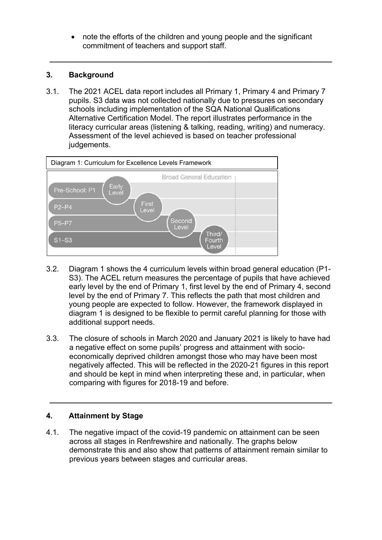note the efforts of the children and young people and the significant commitment of teachers and support staff.

**\_\_\_\_\_\_\_\_\_\_\_\_\_\_\_\_\_\_\_\_\_\_\_\_\_\_\_\_\_\_\_\_\_\_\_\_\_\_\_\_\_\_\_\_\_\_\_\_\_\_\_\_\_\_\_\_\_\_\_\_\_\_\_\_\_\_** 

# **3. Background**

3.1. The 2021 ACEL data report includes all Primary 1, Primary 4 and Primary 7 pupils. S3 data was not collected nationally due to pressures on secondary schools including implementation of the SQA National Qualifications Alternative Certification Model. The report illustrates performance in the literacy curricular areas (listening & talking, reading, writing) and numeracy. Assessment of the level achieved is based on teacher professional judgements.



- 3.2. Diagram 1 shows the 4 curriculum levels within broad general education (P1- S3). The ACEL return measures the percentage of pupils that have achieved early level by the end of Primary 1, first level by the end of Primary 4, second level by the end of Primary 7. This reflects the path that most children and young people are expected to follow. However, the framework displayed in diagram 1 is designed to be flexible to permit careful planning for those with additional support needs.
- 3.3. The closure of schools in March 2020 and January 2021 is likely to have had a negative effect on some pupils' progress and attainment with socioeconomically deprived children amongst those who may have been most negatively affected. This will be reflected in the 2020-21 figures in this report and should be kept in mind when interpreting these and, in particular, when comparing with figures for 2018-19 and before.

**\_\_\_\_\_\_\_\_\_\_\_\_\_\_\_\_\_\_\_\_\_\_\_\_\_\_\_\_\_\_\_\_\_\_\_\_\_\_\_\_\_\_\_\_\_\_\_\_\_\_\_\_\_\_\_\_\_\_\_\_\_\_\_\_\_\_** 

# **4. Attainment by Stage**

4.1. The negative impact of the covid-19 pandemic on attainment can be seen across all stages in Renfrewshire and nationally. The graphs below demonstrate this and also show that patterns of attainment remain similar to previous years between stages and curricular areas.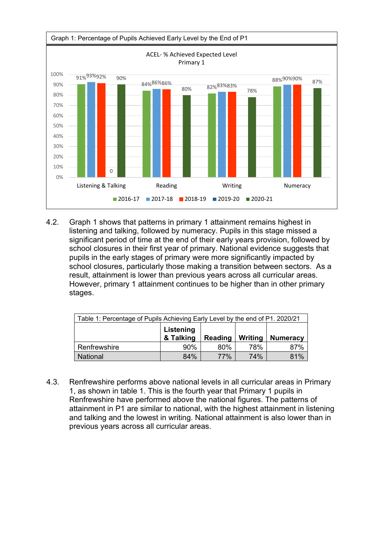

4.2. Graph 1 shows that patterns in primary 1 attainment remains highest in listening and talking, followed by numeracy. Pupils in this stage missed a significant period of time at the end of their early years provision, followed by school closures in their first year of primary. National evidence suggests that pupils in the early stages of primary were more significantly impacted by school closures, particularly those making a transition between sectors. As a result, attainment is lower than previous years across all curricular areas. However, primary 1 attainment continues to be higher than in other primary stages.

| Table 1: Percentage of Pupils Achieving Early Level by the end of P1. 2020/21 |                        |                |            |                 |
|-------------------------------------------------------------------------------|------------------------|----------------|------------|-----------------|
|                                                                               | Listening<br>& Talking | <b>Reading</b> | Writing    | <b>Numeracy</b> |
| Renfrewshire                                                                  | $90\%$                 | 80%            | 78%        | 87%             |
| <b>National</b>                                                               | 84%                    | <b>77%</b>     | <b>74%</b> | 81%             |

4.3. Renfrewshire performs above national levels in all curricular areas in Primary 1, as shown in table 1. This is the fourth year that Primary 1 pupils in Renfrewshire have performed above the national figures. The patterns of attainment in P1 are similar to national, with the highest attainment in listening and talking and the lowest in writing. National attainment is also lower than in previous years across all curricular areas.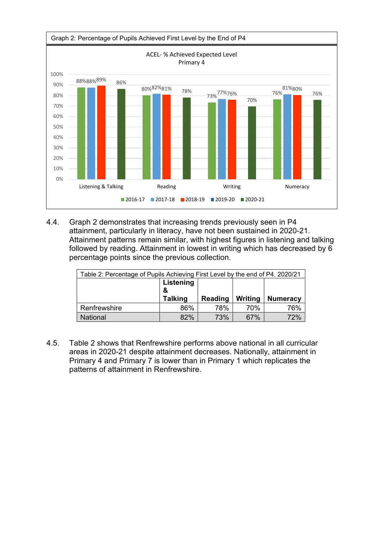

4.4. Graph 2 demonstrates that increasing trends previously seen in P4 attainment, particularly in literacy, have not been sustained in 2020-21. Attainment patterns remain similar, with highest figures in listening and talking followed by reading. Attainment in lowest in writing which has decreased by 6 percentage points since the previous collection.

| Table 2: Percentage of Pupils Achieving First Level by the end of P4. 2020/21 |                |         |         |                 |
|-------------------------------------------------------------------------------|----------------|---------|---------|-----------------|
|                                                                               | Listening<br>& |         |         |                 |
|                                                                               |                |         |         |                 |
|                                                                               | <b>Talking</b> | Reading | Writing | <b>Numeracy</b> |
| Renfrewshire                                                                  | 86%            | 78%     | 70%     | 76%             |

4.5. Table 2 shows that Renfrewshire performs above national in all curricular areas in 2020-21 despite attainment decreases. Nationally, attainment in Primary 4 and Primary 7 is lower than in Primary 1 which replicates the patterns of attainment in Renfrewshire.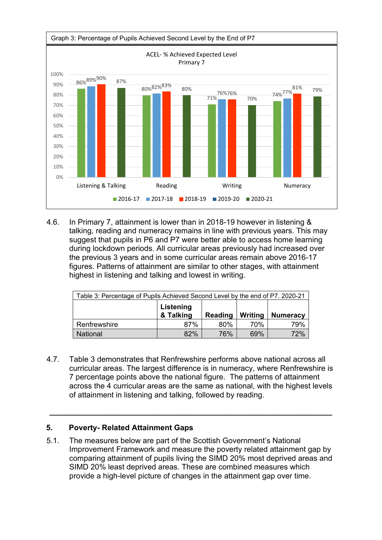

4.6. In Primary 7, attainment is lower than in 2018-19 however in listening & talking, reading and numeracy remains in line with previous years. This may suggest that pupils in P6 and P7 were better able to access home learning during lockdown periods. All curricular areas previously had increased over the previous 3 years and in some curricular areas remain above 2016-17 figures. Patterns of attainment are similar to other stages, with attainment highest in listening and talking and lowest in writing.

| Table 3: Percentage of Pupils Achieved Second Level by the end of P7. 2020-21 |                        |         |         |                 |
|-------------------------------------------------------------------------------|------------------------|---------|---------|-----------------|
|                                                                               | Listening<br>& Talking | Reading | Writing | <b>Numeracy</b> |
| Renfrewshire                                                                  | 87%                    | 80%     | 70%     | 79%             |
| <b>National</b>                                                               | 82%                    | 76%     | 69%     | 72%             |

4.7. Table 3 demonstrates that Renfrewshire performs above national across all curricular areas. The largest difference is in numeracy, where Renfrewshire is 7 percentage points above the national figure. The patterns of attainment across the 4 curricular areas are the same as national, with the highest levels of attainment in listening and talking, followed by reading.

**\_\_\_\_\_\_\_\_\_\_\_\_\_\_\_\_\_\_\_\_\_\_\_\_\_\_\_\_\_\_\_\_\_\_\_\_\_\_\_\_\_\_\_\_\_\_\_\_\_\_\_\_\_\_\_\_\_\_\_\_\_\_\_\_\_\_** 

### **5. Poverty- Related Attainment Gaps**

5.1. The measures below are part of the Scottish Government's National Improvement Framework and measure the poverty related attainment gap by comparing attainment of pupils living the SIMD 20% most deprived areas and SIMD 20% least deprived areas. These are combined measures which provide a high-level picture of changes in the attainment gap over time.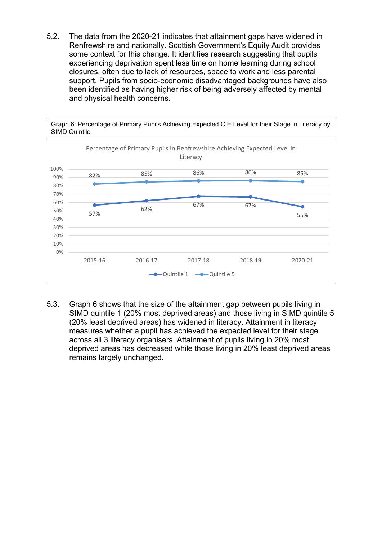5.2. The data from the 2020-21 indicates that attainment gaps have widened in Renfrewshire and nationally. Scottish Government's Equity Audit provides some context for this change. It identifies research suggesting that pupils experiencing deprivation spent less time on home learning during school closures, often due to lack of resources, space to work and less parental support. Pupils from socio-economic disadvantaged backgrounds have also been identified as having higher risk of being adversely affected by mental and physical health concerns.



5.3. Graph 6 shows that the size of the attainment gap between pupils living in SIMD quintile 1 (20% most deprived areas) and those living in SIMD quintile 5 (20% least deprived areas) has widened in literacy. Attainment in literacy measures whether a pupil has achieved the expected level for their stage across all 3 literacy organisers. Attainment of pupils living in 20% most deprived areas has decreased while those living in 20% least deprived areas remains largely unchanged.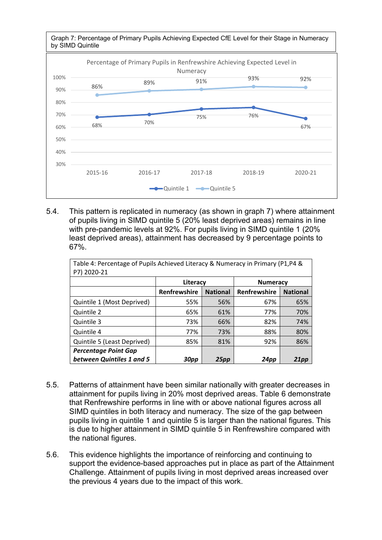

5.4. This pattern is replicated in numeracy (as shown in graph 7) where attainment of pupils living in SIMD quintile 5 (20% least deprived areas) remains in line with pre-pandemic levels at 92%. For pupils living in SIMD quintile 1 (20% least deprived areas), attainment has decreased by 9 percentage points to 67%.

| Table 4: Percentage of Pupils Achieved Literacy & Numeracy in Primary (P1,P4 &<br>P7) 2020-21 |              |                 |                 |                 |
|-----------------------------------------------------------------------------------------------|--------------|-----------------|-----------------|-----------------|
|                                                                                               | Literacy     |                 | <b>Numeracy</b> |                 |
|                                                                                               | Renfrewshire | <b>National</b> | Renfrewshire    | <b>National</b> |
| Quintile 1 (Most Deprived)                                                                    | 55%          | 56%             | 67%             | 65%             |
| Quintile 2                                                                                    | 65%          | 61%             | 77%             | 70%             |
| Quintile 3                                                                                    | 73%          | 66%             | 82%             | 74%             |
| Quintile 4                                                                                    | 77%          | 73%             | 88%             | 80%             |
| Quintile 5 (Least Deprived)                                                                   | 85%          | 81%             | 92%             | 86%             |
| <b>Percentage Point Gap</b>                                                                   |              |                 |                 |                 |
| between Quintiles 1 and 5                                                                     | <b>30pp</b>  | 25pp            | 24pp            | 21pp            |

- 5.5. Patterns of attainment have been similar nationally with greater decreases in attainment for pupils living in 20% most deprived areas. Table 6 demonstrate that Renfrewshire performs in line with or above national figures across all SIMD quintiles in both literacy and numeracy. The size of the gap between pupils living in quintile 1 and quintile 5 is larger than the national figures. This is due to higher attainment in SIMD quintile 5 in Renfrewshire compared with the national figures.
- 5.6. This evidence highlights the importance of reinforcing and continuing to support the evidence-based approaches put in place as part of the Attainment Challenge. Attainment of pupils living in most deprived areas increased over the previous 4 years due to the impact of this work.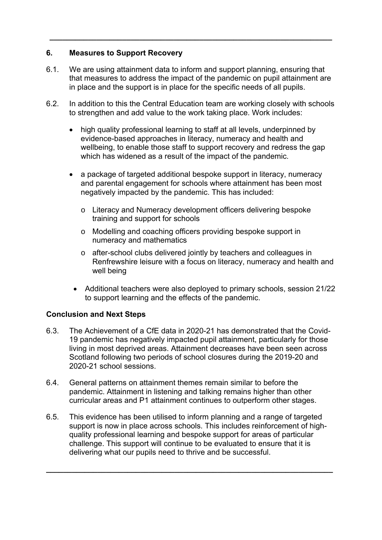# **6. Measures to Support Recovery**

6.1. We are using attainment data to inform and support planning, ensuring that that measures to address the impact of the pandemic on pupil attainment are in place and the support is in place for the specific needs of all pupils.

**\_\_\_\_\_\_\_\_\_\_\_\_\_\_\_\_\_\_\_\_\_\_\_\_\_\_\_\_\_\_\_\_\_\_\_\_\_\_\_\_\_\_\_\_\_\_\_\_\_\_\_\_\_\_\_\_\_\_\_\_\_\_\_\_\_\_** 

- 6.2. In addition to this the Central Education team are working closely with schools to strengthen and add value to the work taking place. Work includes:
	- high quality professional learning to staff at all levels, underpinned by evidence-based approaches in literacy, numeracy and health and wellbeing, to enable those staff to support recovery and redress the gap which has widened as a result of the impact of the pandemic.
	- a package of targeted additional bespoke support in literacy, numeracy and parental engagement for schools where attainment has been most negatively impacted by the pandemic. This has included:
		- o Literacy and Numeracy development officers delivering bespoke training and support for schools
		- o Modelling and coaching officers providing bespoke support in numeracy and mathematics
		- o after-school clubs delivered jointly by teachers and colleagues in Renfrewshire leisure with a focus on literacy, numeracy and health and well being
		- Additional teachers were also deployed to primary schools, session 21/22 to support learning and the effects of the pandemic.

# **Conclusion and Next Steps**

- 6.3. The Achievement of a CfE data in 2020-21 has demonstrated that the Covid-19 pandemic has negatively impacted pupil attainment, particularly for those living in most deprived areas. Attainment decreases have been seen across Scotland following two periods of school closures during the 2019-20 and 2020-21 school sessions.
- 6.4. General patterns on attainment themes remain similar to before the pandemic. Attainment in listening and talking remains higher than other curricular areas and P1 attainment continues to outperform other stages.
- 6.5. This evidence has been utilised to inform planning and a range of targeted support is now in place across schools. This includes reinforcement of highquality professional learning and bespoke support for areas of particular challenge. This support will continue to be evaluated to ensure that it is delivering what our pupils need to thrive and be successful.

**\_\_\_\_\_\_\_\_\_\_\_\_\_\_\_\_\_\_\_\_\_\_\_\_\_\_\_\_\_\_\_\_\_\_\_\_\_\_\_\_\_\_\_\_\_\_\_\_\_\_\_\_\_\_\_\_\_\_\_\_\_\_\_\_\_\_\_**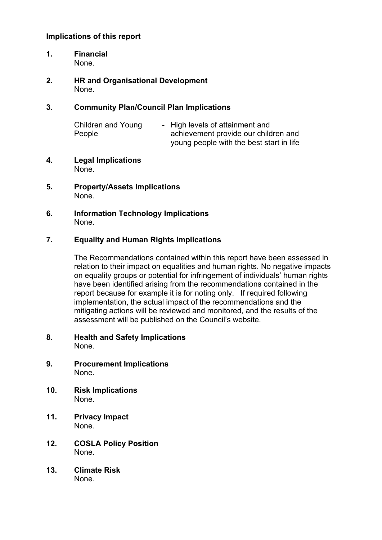### **Implications of this report**

- **1. Financial**  None.
- **2. HR and Organisational Development**  None.

#### **3. Community Plan/Council Plan Implications**

| Children and Young | - High levels of attainment and          |
|--------------------|------------------------------------------|
| People             | achievement provide our children and     |
|                    | young people with the best start in life |

- **4. Legal Implications**  None.
- **5. Property/Assets Implications**  None.
- **6. Information Technology Implications**  None.

#### **7. Equality and Human Rights Implications**

The Recommendations contained within this report have been assessed in relation to their impact on equalities and human rights. No negative impacts on equality groups or potential for infringement of individuals' human rights have been identified arising from the recommendations contained in the report because for example it is for noting only. If required following implementation, the actual impact of the recommendations and the mitigating actions will be reviewed and monitored, and the results of the assessment will be published on the Council's website.

- **8. Health and Safety Implications**  None.
- **9. Procurement Implications**  None.
- **10. Risk Implications**  None.
- **11. Privacy Impact**  None.
- **12. COSLA Policy Position**  None.
- **13. Climate Risk** None.